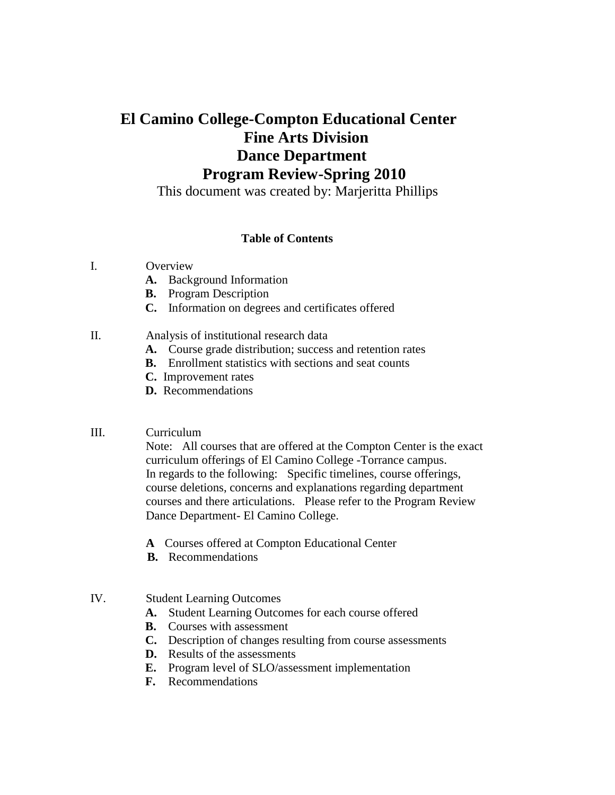# **El Camino College-Compton Educational Center Fine Arts Division Dance Department Program Review-Spring 2010**

This document was created by: Marjeritta Phillips

#### **Table of Contents**

### I. Overview

- **A.** Background Information
- **B.** Program Description
- **C.** Information on degrees and certificates offered

### II. Analysis of institutional research data

- **A.** Course grade distribution; success and retention rates
- **B.** Enrollment statistics with sections and seat counts
- **C.** Improvement rates
- **D.** Recommendations

### III. Curriculum

 Note: All courses that are offered at the Compton Center is the exact curriculum offerings of El Camino College -Torrance campus. In regards to the following: Specific timelines, course offerings, course deletions, concerns and explanations regarding department courses and there articulations. Please refer to the Program Review Dance Department- El Camino College.

- **A** Courses offered at Compton Educational Center
- **B.** Recommendations

# IV. Student Learning Outcomes

- **A.** Student Learning Outcomes for each course offered
- **B.** Courses with assessment
- **C.** Description of changes resulting from course assessments
- **D.** Results of the assessments
- **E.** Program level of SLO/assessment implementation
- **F.** Recommendations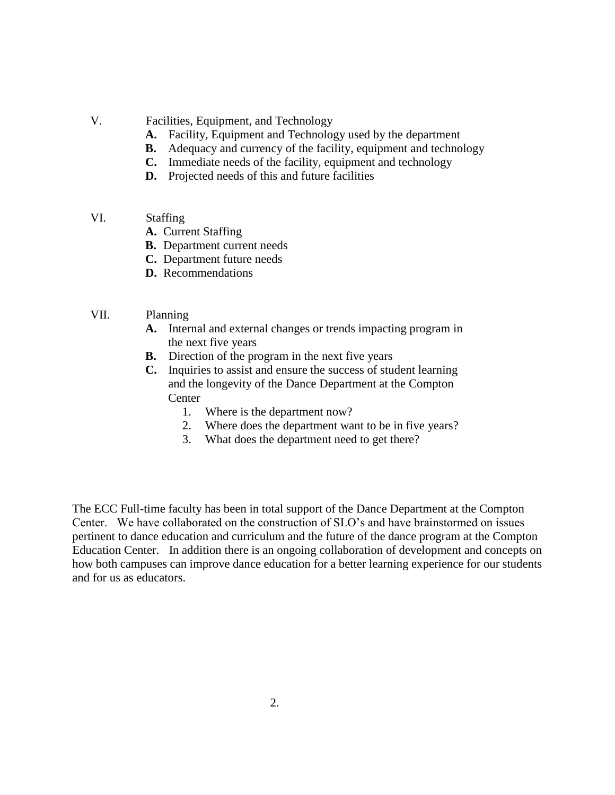- V. Facilities, Equipment, and Technology
	- **A.** Facility, Equipment and Technology used by the department
	- **B.** Adequacy and currency of the facility, equipment and technology
	- **C.** Immediate needs of the facility, equipment and technology
	- **D.** Projected needs of this and future facilities
- VI. Staffing
	- **A.** Current Staffing
	- **B.** Department current needs
	- **C.** Department future needs
	- **D.** Recommendations
- VII. Planning
	- **A.** Internal and external changes or trends impacting program in the next five years
	- **B.** Direction of the program in the next five years
	- **C.** Inquiries to assist and ensure the success of student learning and the longevity of the Dance Department at the Compton **Center** 
		- 1. Where is the department now?
		- 2. Where does the department want to be in five years?
		- 3. What does the department need to get there?

The ECC Full-time faculty has been in total support of the Dance Department at the Compton Center. We have collaborated on the construction of SLO"s and have brainstormed on issues pertinent to dance education and curriculum and the future of the dance program at the Compton Education Center. In addition there is an ongoing collaboration of development and concepts on how both campuses can improve dance education for a better learning experience for our students and for us as educators.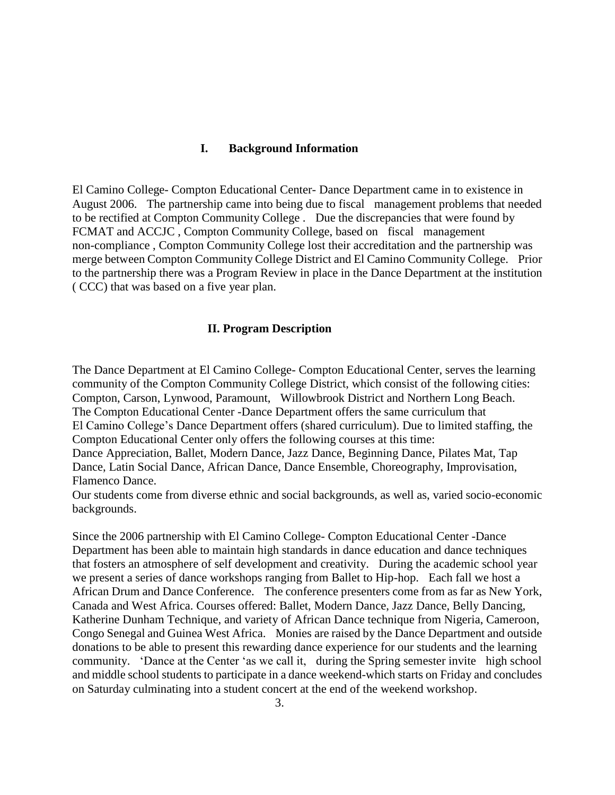#### **I. Background Information**

El Camino College- Compton Educational Center- Dance Department came in to existence in August 2006. The partnership came into being due to fiscal management problems that needed to be rectified at Compton Community College . Due the discrepancies that were found by FCMAT and ACCJC , Compton Community College, based on fiscal management non-compliance , Compton Community College lost their accreditation and the partnership was merge between Compton Community College District and El Camino Community College. Prior to the partnership there was a Program Review in place in the Dance Department at the institution ( CCC) that was based on a five year plan.

### **II. Program Description**

The Dance Department at El Camino College- Compton Educational Center, serves the learning community of the Compton Community College District, which consist of the following cities: Compton, Carson, Lynwood, Paramount, Willowbrook District and Northern Long Beach. The Compton Educational Center -Dance Department offers the same curriculum that El Camino College"s Dance Department offers (shared curriculum). Due to limited staffing, the Compton Educational Center only offers the following courses at this time: Dance Appreciation, Ballet, Modern Dance, Jazz Dance, Beginning Dance, Pilates Mat, Tap

Dance, Latin Social Dance, African Dance, Dance Ensemble, Choreography, Improvisation, Flamenco Dance.

Our students come from diverse ethnic and social backgrounds, as well as, varied socio-economic backgrounds.

Since the 2006 partnership with El Camino College- Compton Educational Center -Dance Department has been able to maintain high standards in dance education and dance techniques that fosters an atmosphere of self development and creativity. During the academic school year we present a series of dance workshops ranging from Ballet to Hip-hop. Each fall we host a African Drum and Dance Conference. The conference presenters come from as far as New York, Canada and West Africa. Courses offered: Ballet, Modern Dance, Jazz Dance, Belly Dancing, Katherine Dunham Technique, and variety of African Dance technique from Nigeria, Cameroon, Congo Senegal and Guinea West Africa. Monies are raised by the Dance Department and outside donations to be able to present this rewarding dance experience for our students and the learning community. "Dance at the Center "as we call it, during the Spring semester invite high school and middle school students to participate in a dance weekend-which starts on Friday and concludes on Saturday culminating into a student concert at the end of the weekend workshop.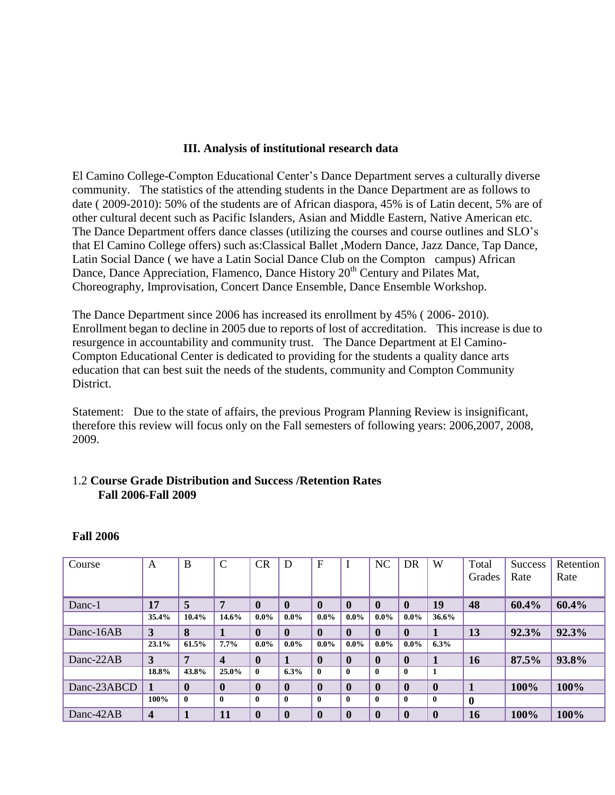### **III. Analysis of institutional research data**

El Camino College-Compton Educational Center's Dance Department serves a culturally diverse community. The statistics of the attending students in the Dance Department are as follows to date ( 2009-2010): 50% of the students are of African diaspora, 45% is of Latin decent, 5% are of other cultural decent such as Pacific Islanders, Asian and Middle Eastern, Native American etc. The Dance Department offers dance classes (utilizing the courses and course outlines and SLO"s that El Camino College offers) such as:Classical Ballet ,Modern Dance, Jazz Dance, Tap Dance, Latin Social Dance ( we have a Latin Social Dance Club on the Compton campus) African Dance, Dance Appreciation, Flamenco, Dance History 20<sup>th</sup> Century and Pilates Mat, Choreography, Improvisation, Concert Dance Ensemble, Dance Ensemble Workshop.

The Dance Department since 2006 has increased its enrollment by 45% ( 2006- 2010). Enrollment began to decline in 2005 due to reports of lost of accreditation. This increase is due to resurgence in accountability and community trust. The Dance Department at El Camino-Compton Educational Center is dedicated to providing for the students a quality dance arts education that can best suit the needs of the students, community and Compton Community District.

Statement: Due to the state of affairs, the previous Program Planning Review is insignificant, therefore this review will focus only on the Fall semesters of following years: 2006,2007, 2008, 2009.

# 1.2 **Course Grade Distribution and Success /Retention Rates Fall 2006-Fall 2009**

| Course      | A              | B            | C                       | CR           | D            | F            |              | NC           | DR           | W                | Total       | Success | Retention |
|-------------|----------------|--------------|-------------------------|--------------|--------------|--------------|--------------|--------------|--------------|------------------|-------------|---------|-----------|
|             |                |              |                         |              |              |              |              |              |              |                  | Grades      | Rate    | Rate      |
|             |                |              |                         |              |              |              |              |              |              |                  |             |         |           |
| Danc-1      | 17             | 5            | 7                       | $\mathbf{0}$ | $\mathbf{0}$ | $\mathbf{0}$ | $\mathbf{0}$ | $\mathbf{0}$ | $\mathbf{0}$ | 19               | 48          | 60.4%   | 60.4%     |
|             | 35.4%          | 10.4%        | 14.6%                   | $0.0\%$      | $0.0\%$      | $0.0\%$      | $0.0\%$      | $0.0\%$      | $0.0\%$      | 36.6%            |             |         |           |
| Danc-16AB   | 3              | 8            |                         | $\mathbf{0}$ | $\mathbf{0}$ | $\mathbf{0}$ | $\mathbf{0}$ | $\mathbf{0}$ | $\mathbf{0}$ |                  | 13          | 92.3%   | 92.3%     |
|             | 23.1%          | 61.5%        | 7.7%                    | $0.0\%$      | $0.0\%$      | $0.0\%$      | $0.0\%$      | $0.0\%$      | $0.0\%$      | 6.3%             |             |         |           |
| Danc-22AB   | 3              | 7            | $\overline{\mathbf{4}}$ | $\mathbf{0}$ |              | $\mathbf 0$  | $\mathbf{0}$ | $\mathbf{0}$ | $\mathbf 0$  |                  | 16          | 87.5%   | 93.8%     |
|             | 18.8%          | 43.8%        | 25.0%                   | 0            | 6.3%         | $\mathbf{0}$ | $\mathbf{0}$ | $\mathbf{0}$ | $\mathbf{0}$ |                  |             |         |           |
| Danc-23ABCD |                | $\mathbf{0}$ | $\mathbf{0}$            | $\bf{0}$     | $\mathbf{0}$ | $\mathbf{0}$ | $\mathbf{0}$ | $\mathbf{0}$ | $\mathbf{0}$ | $\mathbf{0}$     |             | 100%    | 100%      |
|             | 100%           | $\bf{0}$     | $\mathbf{0}$            | $\mathbf{0}$ | $\mathbf{0}$ | $\mathbf{0}$ | $\bf{0}$     | $\mathbf{0}$ | $\mathbf{0}$ | $\bf{0}$         | $\mathbf 0$ |         |           |
| Danc-42AB   | $\overline{4}$ |              | 11                      | $\mathbf{0}$ | $\mathbf{0}$ | $\mathbf{0}$ | $\mathbf{0}$ | $\mathbf{0}$ | $\mathbf{0}$ | $\boldsymbol{0}$ | 16          | 100%    | 100%      |

### **Fall 2006**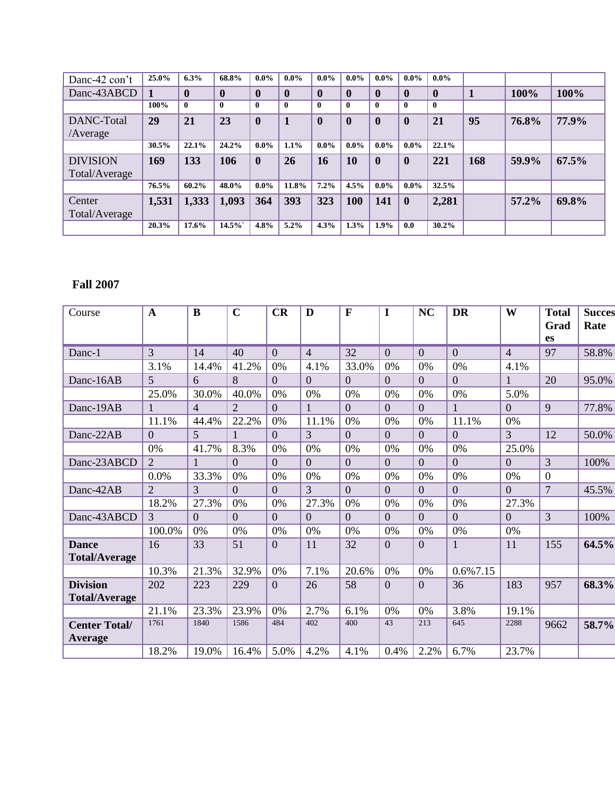| Danc-42 con't   | 25.0% | 6.3%        | 68.8%        | $0.0\%$          | $0.0\%$      | $0.0\%$          | $0.0\%$      | $0.0\%$      | $0.0\%$      | $0.0\%$      |     |       |       |
|-----------------|-------|-------------|--------------|------------------|--------------|------------------|--------------|--------------|--------------|--------------|-----|-------|-------|
| Danc-43ABCD     |       | $\bf{0}$    | $\mathbf{0}$ | $\bf{0}$         | $\mathbf{0}$ | $\bf{0}$         | $\mathbf{0}$ | $\mathbf{0}$ | $\mathbf{0}$ | $\mathbf{0}$ |     | 100%  | 100%  |
|                 | 100%  | $\mathbf 0$ | $\mathbf{0}$ | $\mathbf{0}$     | $\mathbf{0}$ | $\mathbf{0}$     | $\mathbf{0}$ | $\mathbf{0}$ | $\mathbf{0}$ | $\mathbf{0}$ |     |       |       |
| DANC-Total      | 29    | 21          | 23           | $\boldsymbol{0}$ |              | $\boldsymbol{0}$ | $\mathbf{0}$ | $\mathbf{0}$ | $\mathbf{0}$ | 21           | 95  | 76.8% | 77.9% |
| /Average        |       |             |              |                  |              |                  |              |              |              |              |     |       |       |
|                 | 30.5% | 22.1%       | 24.2%        | $0.0\%$          | 1.1%         | $0.0\%$          | $0.0\%$      | $0.0\%$      | $0.0\%$      | 22.1%        |     |       |       |
| <b>DIVISION</b> | 169   | 133         | 106          | $\mathbf{0}$     | 26           | 16               | 10           | $\mathbf{0}$ | $\mathbf{0}$ | 221          | 168 | 59.9% | 67.5% |
| Total/Average   |       |             |              |                  |              |                  |              |              |              |              |     |       |       |
|                 | 76.5% | 60.2%       | 48.0%        | $0.0\%$          | 11.8%        | 7.2%             | 4.5%         | $0.0\%$      | $0.0\%$      | 32.5%        |     |       |       |
| Center          | 1,531 | 1,333       | 1,093        | 364              | 393          | 323              | 100          | 141          | $\mathbf{0}$ | 2,281        |     | 57.2% | 69.8% |
| Total/Average   |       |             |              |                  |              |                  |              |              |              |              |     |       |       |
|                 | 20.3% | 17.6%       | $14.5\%$     | 4.8%             | 5.2%         | 4.3%             | 1.3%         | 1.9%         | 0.0          | 30.2%        |     |       |       |

# **Fall 2007**

| 3<br>32<br>40<br>$\overline{0}$<br>$\overline{4}$<br>$\overline{0}$<br>$\overline{0}$<br>$\overline{0}$<br>14<br>$\overline{4}$<br>Danc-1<br>41.2%<br>33.0%<br>0%<br>3.1%<br>14.4%<br>0%<br>4.1%<br>0%<br>0%<br>4.1%<br>5<br>8<br>$\overline{0}$<br>$\overline{0}$<br>$\overline{0}$<br>$\overline{0}$<br>$\overline{0}$<br>$\overline{0}$<br>Danc-16AB<br>6<br>30.0%<br>40.0%<br>25.0%<br>0%<br>0%<br>0%<br>0%<br>0%<br>0%<br>5.0%<br>$\overline{0}$<br>$\overline{0}$<br>$\overline{0}$<br>Danc-19AB<br>$\overline{4}$<br>$\overline{2}$<br>$\overline{0}$<br>$\overline{0}$<br>$\mathbf{1}$ | 97<br>58.8%<br>20<br>95.0%<br>9<br>77.8%<br>12<br>50.0% |
|------------------------------------------------------------------------------------------------------------------------------------------------------------------------------------------------------------------------------------------------------------------------------------------------------------------------------------------------------------------------------------------------------------------------------------------------------------------------------------------------------------------------------------------------------------------------------------------------|---------------------------------------------------------|
|                                                                                                                                                                                                                                                                                                                                                                                                                                                                                                                                                                                                |                                                         |
|                                                                                                                                                                                                                                                                                                                                                                                                                                                                                                                                                                                                |                                                         |
|                                                                                                                                                                                                                                                                                                                                                                                                                                                                                                                                                                                                |                                                         |
|                                                                                                                                                                                                                                                                                                                                                                                                                                                                                                                                                                                                |                                                         |
|                                                                                                                                                                                                                                                                                                                                                                                                                                                                                                                                                                                                |                                                         |
| 22.2%<br>11.1%<br>44.4%<br>0%<br>11.1%<br>0%<br>0%<br>0%<br>11.1%<br>0%                                                                                                                                                                                                                                                                                                                                                                                                                                                                                                                        |                                                         |
| 5<br>3<br>$\overline{0}$<br>3<br>Danc-22AB<br>$\overline{0}$<br>$\overline{0}$<br>$\overline{0}$<br>$\overline{0}$<br>$\overline{0}$                                                                                                                                                                                                                                                                                                                                                                                                                                                           |                                                         |
| 0%<br>41.7%<br>8.3%<br>0%<br>0%<br>0%<br>0%<br>0%<br>0%<br>25.0%                                                                                                                                                                                                                                                                                                                                                                                                                                                                                                                               |                                                         |
| Danc-23ABCD<br>$\overline{0}$<br>2<br>$\theta$<br>$\Omega$<br>$\Omega$<br>$\Omega$<br>$\Omega$<br>$\Omega$<br>$\theta$                                                                                                                                                                                                                                                                                                                                                                                                                                                                         | 3<br>100%                                               |
| 33.3%<br>0.0%<br>0%<br>0%<br>0%<br>0%<br>0%<br>0%<br>0%<br>0%                                                                                                                                                                                                                                                                                                                                                                                                                                                                                                                                  | $\boldsymbol{0}$                                        |
| $\overline{2}$<br>3<br>3<br>Danc-42AB<br>$\Omega$<br>$\overline{0}$<br>$\Omega$<br>$\overline{0}$<br>$\overline{0}$<br>$\overline{0}$<br>$\Omega$                                                                                                                                                                                                                                                                                                                                                                                                                                              | $\overline{7}$<br>45.5%                                 |
| 18.2%<br>27.3%<br>0%<br>27.3%<br>0%<br>0%<br>0%<br>$0\%$<br>27.3%<br>0%                                                                                                                                                                                                                                                                                                                                                                                                                                                                                                                        |                                                         |
| Danc-43ABCD<br>3<br>$\overline{0}$<br>$\overline{0}$<br>$\Omega$<br>$\overline{0}$<br>$\Omega$<br>$\Omega$<br>$\overline{0}$<br>$\Omega$<br>$\Omega$                                                                                                                                                                                                                                                                                                                                                                                                                                           | 3<br>100%                                               |
| 100.0%<br>0%<br>0%<br>0%<br>0%<br>0%<br>0%<br>0%<br>0%<br>0%                                                                                                                                                                                                                                                                                                                                                                                                                                                                                                                                   |                                                         |
| 33<br>32<br>51<br>$\overline{0}$<br>$\overline{0}$<br>$\overline{0}$<br>11<br>16<br>11<br><b>Dance</b><br><b>Total/Average</b>                                                                                                                                                                                                                                                                                                                                                                                                                                                                 | 64.5%<br>155                                            |
| 10.3%<br>21.3%<br>32.9%<br>7.1%<br>0.6%7.15<br>0%<br>20.6%<br>0%<br>0%                                                                                                                                                                                                                                                                                                                                                                                                                                                                                                                         |                                                         |
| 223<br>58<br>$\overline{0}$<br><b>Division</b><br>202<br>229<br>$\overline{0}$<br>26<br>$\overline{0}$<br>36<br>183<br><b>Total/Average</b>                                                                                                                                                                                                                                                                                                                                                                                                                                                    | 957<br>68.3%                                            |
| 23.3%<br>23.9%<br>2.7%<br>21.1%<br>0%<br>6.1%<br>0%<br>0%<br>3.8%<br>19.1%                                                                                                                                                                                                                                                                                                                                                                                                                                                                                                                     |                                                         |
| 402<br>43<br>1840<br>1586<br>484<br>400<br>213<br>645<br>2288<br>1761<br><b>Center Total/</b><br>Average                                                                                                                                                                                                                                                                                                                                                                                                                                                                                       | 58.7%<br>9662                                           |
| 2.2%<br>18.2%<br>19.0%<br>5.0%<br>4.2%<br>0.4%<br>6.7%<br>23.7%<br>16.4%<br>4.1%                                                                                                                                                                                                                                                                                                                                                                                                                                                                                                               |                                                         |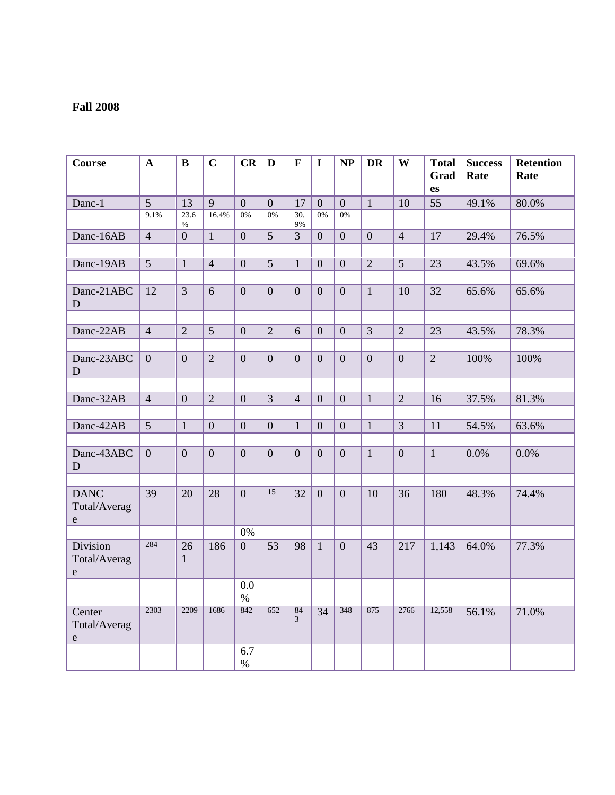# **Fall 2008**

| <b>Course</b>                            | $\mathbf{A}$    | $\bf{B}$           | $\mathbf C$    | CR               | D              | $\mathbf{F}$      | I              | <b>NP</b>        | <b>DR</b>      | W              | <b>Total</b><br>Grad<br>es | <b>Success</b><br>Rate | <b>Retention</b><br>Rate |
|------------------------------------------|-----------------|--------------------|----------------|------------------|----------------|-------------------|----------------|------------------|----------------|----------------|----------------------------|------------------------|--------------------------|
| Danc-1                                   | $\overline{5}$  | 13                 | 9              | $\overline{0}$   | $\overline{0}$ | 17                | $\overline{0}$ | $\overline{0}$   | $\mathbf{1}$   | 10             | 55                         | 49.1%                  | 80.0%                    |
|                                          | 9.1%            | 23.6               | 16.4%          | $0\%$            | $0\%$          | $\overline{30}$ . | 0%             | 0%               |                |                |                            |                        |                          |
|                                          |                 | $\%$               |                |                  |                | 9%                |                |                  |                |                |                            |                        |                          |
| Danc-16AB                                | $\overline{4}$  | $\overline{0}$     | $\mathbf{1}$   | $\overline{0}$   | $\overline{5}$ | $\overline{3}$    | $\overline{0}$ | $\overline{0}$   | $\overline{0}$ | $\overline{4}$ | 17                         | 29.4%                  | 76.5%                    |
|                                          |                 |                    |                |                  |                |                   |                |                  |                |                |                            |                        |                          |
| Danc-19AB                                | $\overline{5}$  | $\mathbf{1}$       | $\overline{4}$ | $\mathbf{0}$     | $\overline{5}$ | $\mathbf{1}$      | $\overline{0}$ | $\boldsymbol{0}$ | $\overline{2}$ | 5              | $\overline{23}$            | 43.5%                  | 69.6%                    |
| Danc-21ABC<br>D                          | 12              | $\overline{3}$     | 6              | $\overline{0}$   | $\overline{0}$ | $\overline{0}$    | $\overline{0}$ | $\boldsymbol{0}$ | $\mathbf{1}$   | 10             | 32                         | 65.6%                  | 65.6%                    |
|                                          |                 |                    |                |                  |                |                   |                |                  |                |                |                            |                        |                          |
| Danc-22AB                                | $\overline{4}$  | $\overline{2}$     | $\overline{5}$ | $\boldsymbol{0}$ | $\overline{2}$ | 6                 | $\overline{0}$ | $\boldsymbol{0}$ | $\overline{3}$ | $\overline{2}$ | $\overline{23}$            | 43.5%                  | 78.3%                    |
|                                          |                 |                    |                |                  |                |                   |                |                  |                |                |                            |                        |                          |
| Danc-23ABC<br>D                          | $\overline{0}$  | $\mathbf{0}$       | $\overline{2}$ | $\overline{0}$   | $\overline{0}$ | $\overline{0}$    | $\overline{0}$ | $\overline{0}$   | $\overline{0}$ | $\overline{0}$ | $\overline{2}$             | 100%                   | 100%                     |
|                                          |                 |                    |                |                  |                |                   |                |                  |                |                |                            |                        |                          |
| Danc-32AB                                | $\overline{4}$  | $\overline{0}$     | $\overline{2}$ | $\overline{0}$   | $\overline{3}$ | $\overline{4}$    | $\overline{0}$ | $\boldsymbol{0}$ | $\mathbf{1}$   | $\overline{2}$ | 16                         | 37.5%                  | 81.3%                    |
|                                          |                 |                    |                |                  |                |                   |                |                  |                |                |                            |                        |                          |
| Danc-42AB                                | $5\overline{)}$ | $\mathbf{1}$       | $\overline{0}$ | $\overline{0}$   | $\overline{0}$ | $\mathbf{1}$      | $\overline{0}$ | $\boldsymbol{0}$ | $\mathbf{1}$   | $\overline{3}$ | 11                         | 54.5%                  | 63.6%                    |
|                                          |                 |                    |                |                  |                |                   |                |                  |                |                |                            |                        |                          |
| Danc-43ABC<br>D                          | $\overline{0}$  | $\overline{0}$     | $\overline{0}$ | $\overline{0}$   | $\overline{0}$ | $\overline{0}$    | $\overline{0}$ | $\overline{0}$   | $\mathbf{1}$   | $\overline{0}$ | $\mathbf{1}$               | 0.0%                   | 0.0%                     |
|                                          |                 |                    |                |                  |                |                   |                |                  |                |                |                            |                        |                          |
| <b>DANC</b><br>Total/Averag<br>${\bf e}$ | 39              | 20                 | 28             | $\overline{0}$   | 15             | 32                | $\overline{0}$ | $\mathbf{0}$     | 10             | 36             | 180                        | 48.3%                  | 74.4%                    |
|                                          |                 |                    |                | $0\%$            |                |                   |                |                  |                |                |                            |                        |                          |
| Division<br>Total/Averag<br>${\bf e}$    | 284             | 26<br>$\mathbf{1}$ | 186            | $\overline{0}$   | 53             | 98                | $\mathbf{1}$   | $\mathbf{0}$     | 43             | 217            | 1,143                      | 64.0%                  | 77.3%                    |
|                                          |                 |                    |                | 0.0<br>$\%$      |                |                   |                |                  |                |                |                            |                        |                          |
| Center<br>Total/Averag<br>${\rm e}$      | 2303            | 2209               | 1686           | 842              | 652            | 84<br>3           | 34             | 348              | 875            | 2766           | 12,558                     | 56.1%                  | 71.0%                    |
|                                          |                 |                    |                | 6.7<br>$\%$      |                |                   |                |                  |                |                |                            |                        |                          |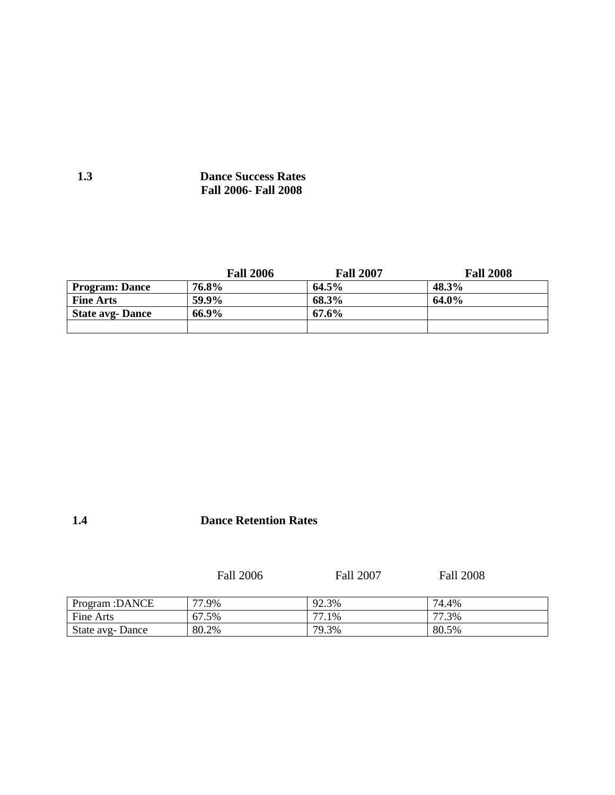# **1.3 Dance Success Rates Fall 2006- Fall 2008**

|                         | <b>Fall 2006</b> | <b>Fall 2007</b> | <b>Fall 2008</b> |
|-------------------------|------------------|------------------|------------------|
| <b>Program: Dance</b>   | 76.8%            | $64.5\%$         | 48.3%            |
| <b>Fine Arts</b>        | 59.9%            | 68.3%            | 64.0%            |
| <b>State avg- Dance</b> | 66.9%            | 67.6%            |                  |
|                         |                  |                  |                  |

# **1.4 Dance Retention Rates**

Fall 2006 Fall 2007 Fall 2008

| Program : DANCE | 77<br>'7.9% | 92.3%                   | 74.4% |
|-----------------|-------------|-------------------------|-------|
| Fine Arts       | 67.5%       | $\overline{ }$<br>'7.1% | 77.3% |
| State avg-Dance | 80.2%       | 79.3%                   | 80.5% |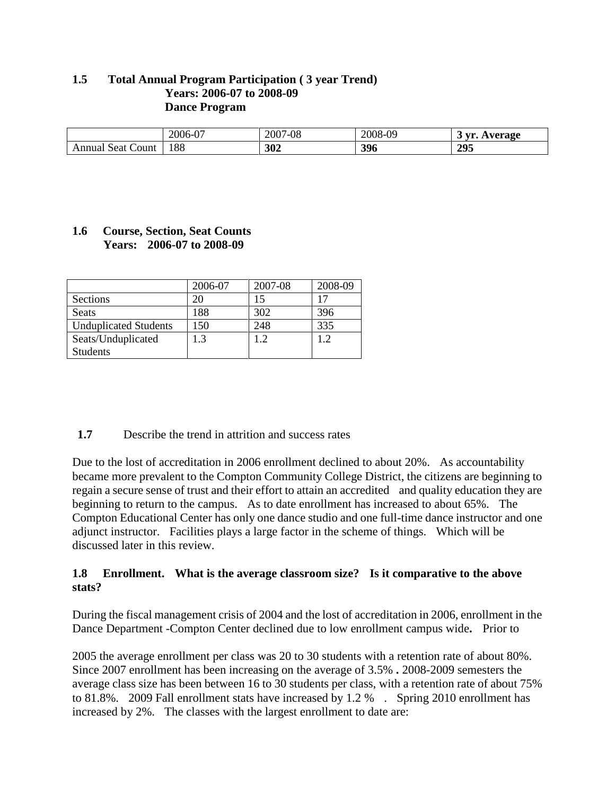# **1.5 Total Annual Program Participation ( 3 year Trend) Years: 2006-07 to 2008-09 Dance Program**

|                         | $\sim$<br>$2006 - 07$ | $7 - 08$<br>∼∩^<br>200 <sup>-1</sup> | -09<br>$2008 -$ | <b>WIN</b><br>verage |
|-------------------------|-----------------------|--------------------------------------|-----------------|----------------------|
| Jount<br>seat<br>Annual | 188                   | 302                                  | 396             | 295                  |

# **1.6 Course, Section, Seat Counts Years: 2006-07 to 2008-09**

|                              | 2006-07   | 2007-08 | 2008-09 |
|------------------------------|-----------|---------|---------|
| Sections                     |           | 15      |         |
| Seats                        | 188       | 302     | 396     |
| <b>Unduplicated Students</b> | 50        | 248     | 335     |
| Seats/Unduplicated           | $\cdot$ 3 | 12      | 1 າ     |
| <b>Students</b>              |           |         |         |

### **1.7** Describe the trend in attrition and success rates

Due to the lost of accreditation in 2006 enrollment declined to about 20%. As accountability became more prevalent to the Compton Community College District, the citizens are beginning to regain a secure sense of trust and their effort to attain an accredited and quality education they are beginning to return to the campus. As to date enrollment has increased to about 65%. The Compton Educational Center has only one dance studio and one full-time dance instructor and one adjunct instructor. Facilities plays a large factor in the scheme of things. Which will be discussed later in this review.

# **1.8 Enrollment. What is the average classroom size? Is it comparative to the above stats?**

During the fiscal management crisis of 2004 and the lost of accreditation in 2006, enrollment in the Dance Department -Compton Center declined due to low enrollment campus wide**.** Prior to

2005 the average enrollment per class was 20 to 30 students with a retention rate of about 80%. Since 2007 enrollment has been increasing on the average of 3.5% **.** 2008-2009 semesters the average class size has been between 16 to 30 students per class, with a retention rate of about 75% to 81.8%. 2009 Fall enrollment stats have increased by 1.2 % . Spring 2010 enrollment has increased by 2%. The classes with the largest enrollment to date are: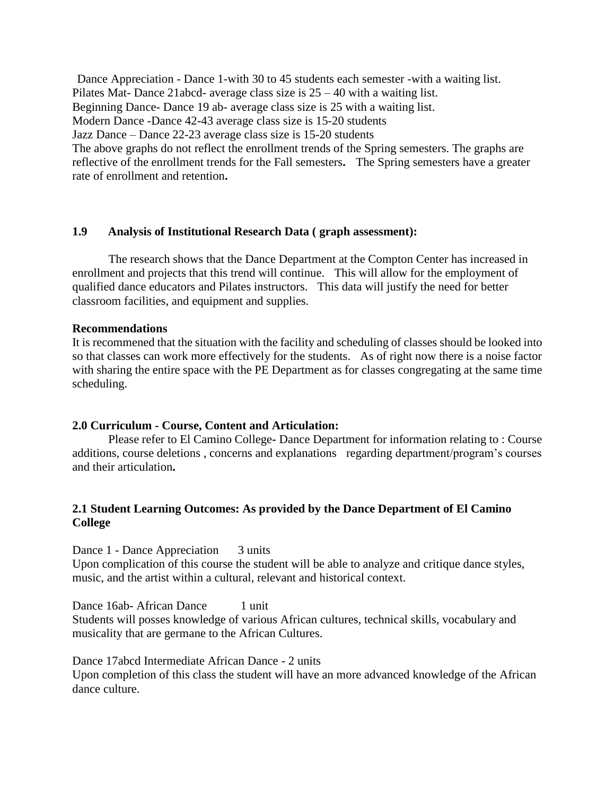Dance Appreciation - Dance 1-with 30 to 45 students each semester -with a waiting list. Pilates Mat- Dance 21abcd- average class size is 25 – 40 with a waiting list. Beginning Dance- Dance 19 ab- average class size is 25 with a waiting list. Modern Dance -Dance 42-43 average class size is 15-20 students Jazz Dance – Dance 22-23 average class size is 15-20 students The above graphs do not reflect the enrollment trends of the Spring semesters. The graphs are reflective of the enrollment trends for the Fall semesters**.** The Spring semesters have a greater rate of enrollment and retention**.**

### **1.9 Analysis of Institutional Research Data ( graph assessment):**

The research shows that the Dance Department at the Compton Center has increased in enrollment and projects that this trend will continue. This will allow for the employment of qualified dance educators and Pilates instructors. This data will justify the need for better classroom facilities, and equipment and supplies.

#### **Recommendations**

It is recommened that the situation with the facility and scheduling of classes should be looked into so that classes can work more effectively for the students. As of right now there is a noise factor with sharing the entire space with the PE Department as for classes congregating at the same time scheduling.

#### **2.0 Curriculum - Course, Content and Articulation:**

Please refer to El Camino College**-** Dance Department for information relating to : Course additions, course deletions , concerns and explanations regarding department/program"s courses and their articulation**.**

# **2.1 Student Learning Outcomes: As provided by the Dance Department of El Camino College**

Dance 1 - Dance Appreciation 3 units

Upon complication of this course the student will be able to analyze and critique dance styles, music, and the artist within a cultural, relevant and historical context.

Dance 16ab- African Dance 1 unit Students will posses knowledge of various African cultures, technical skills, vocabulary and musicality that are germane to the African Cultures.

Dance 17abcd Intermediate African Dance - 2 units

Upon completion of this class the student will have an more advanced knowledge of the African dance culture.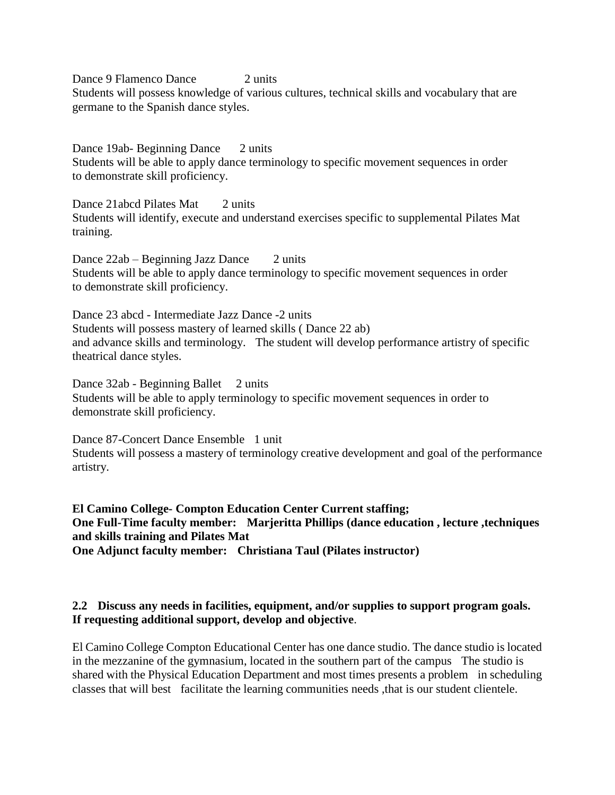Dance 9 Flamenco Dance 2 units Students will possess knowledge of various cultures, technical skills and vocabulary that are germane to the Spanish dance styles.

Dance 19ab- Beginning Dance 2 units Students will be able to apply dance terminology to specific movement sequences in order to demonstrate skill proficiency.

Dance 21abcd Pilates Mat 2 units Students will identify, execute and understand exercises specific to supplemental Pilates Mat training.

Dance 22ab – Beginning Jazz Dance 2 units Students will be able to apply dance terminology to specific movement sequences in order to demonstrate skill proficiency.

Dance 23 abcd - Intermediate Jazz Dance -2 units Students will possess mastery of learned skills ( Dance 22 ab) and advance skills and terminology. The student will develop performance artistry of specific theatrical dance styles.

Dance 32ab - Beginning Ballet 2 units Students will be able to apply terminology to specific movement sequences in order to demonstrate skill proficiency.

Dance 87-Concert Dance Ensemble 1 unit Students will possess a mastery of terminology creative development and goal of the performance artistry.

**El Camino College- Compton Education Center Current staffing; One Full-Time faculty member: Marjeritta Phillips (dance education , lecture ,techniques and skills training and Pilates Mat One Adjunct faculty member: Christiana Taul (Pilates instructor)**

# **2.2 Discuss any needs in facilities, equipment, and/or supplies to support program goals. If requesting additional support, develop and objective**.

El Camino College Compton Educational Center has one dance studio. The dance studio is located in the mezzanine of the gymnasium, located in the southern part of the campus The studio is shared with the Physical Education Department and most times presents a problem in scheduling classes that will best facilitate the learning communities needs ,that is our student clientele.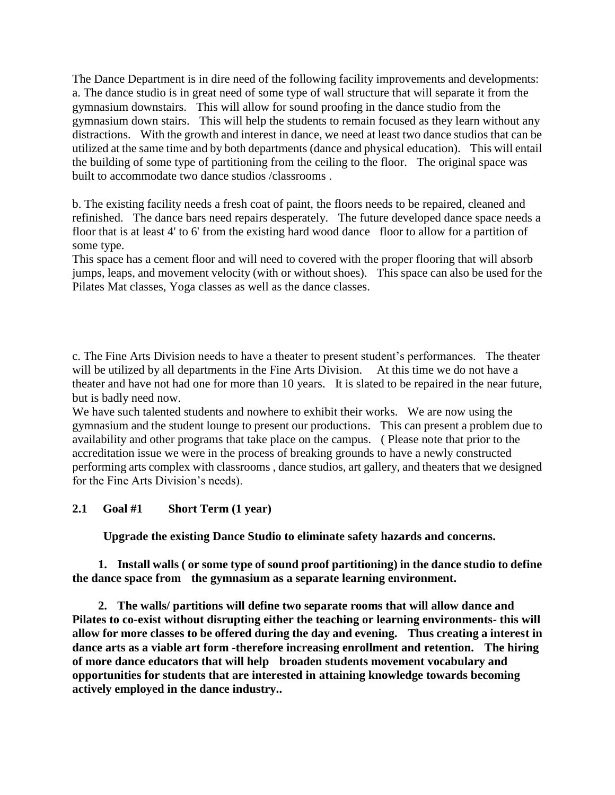The Dance Department is in dire need of the following facility improvements and developments: a. The dance studio is in great need of some type of wall structure that will separate it from the gymnasium downstairs. This will allow for sound proofing in the dance studio from the gymnasium down stairs. This will help the students to remain focused as they learn without any distractions. With the growth and interest in dance, we need at least two dance studios that can be utilized at the same time and by both departments (dance and physical education). This will entail the building of some type of partitioning from the ceiling to the floor. The original space was built to accommodate two dance studios /classrooms .

b. The existing facility needs a fresh coat of paint, the floors needs to be repaired, cleaned and refinished. The dance bars need repairs desperately. The future developed dance space needs a floor that is at least 4' to 6' from the existing hard wood dance floor to allow for a partition of some type.

This space has a cement floor and will need to covered with the proper flooring that will absorb jumps, leaps, and movement velocity (with or without shoes). This space can also be used for the Pilates Mat classes, Yoga classes as well as the dance classes.

c. The Fine Arts Division needs to have a theater to present student"s performances. The theater will be utilized by all departments in the Fine Arts Division. At this time we do not have a theater and have not had one for more than 10 years. It is slated to be repaired in the near future, but is badly need now.

We have such talented students and nowhere to exhibit their works. We are now using the gymnasium and the student lounge to present our productions. This can present a problem due to availability and other programs that take place on the campus. ( Please note that prior to the accreditation issue we were in the process of breaking grounds to have a newly constructed performing arts complex with classrooms , dance studios, art gallery, and theaters that we designed for the Fine Arts Division"s needs).

# **2.1 Goal #1 Short Term (1 year)**

 **Upgrade the existing Dance Studio to eliminate safety hazards and concerns.**

 **1. Install walls ( or some type of sound proof partitioning) in the dance studio to define the dance space from the gymnasium as a separate learning environment.**

 **2. The walls/ partitions will define two separate rooms that will allow dance and Pilates to co-exist without disrupting either the teaching or learning environments- this will allow for more classes to be offered during the day and evening. Thus creating a interest in dance arts as a viable art form -therefore increasing enrollment and retention. The hiring of more dance educators that will help broaden students movement vocabulary and opportunities for students that are interested in attaining knowledge towards becoming actively employed in the dance industry..**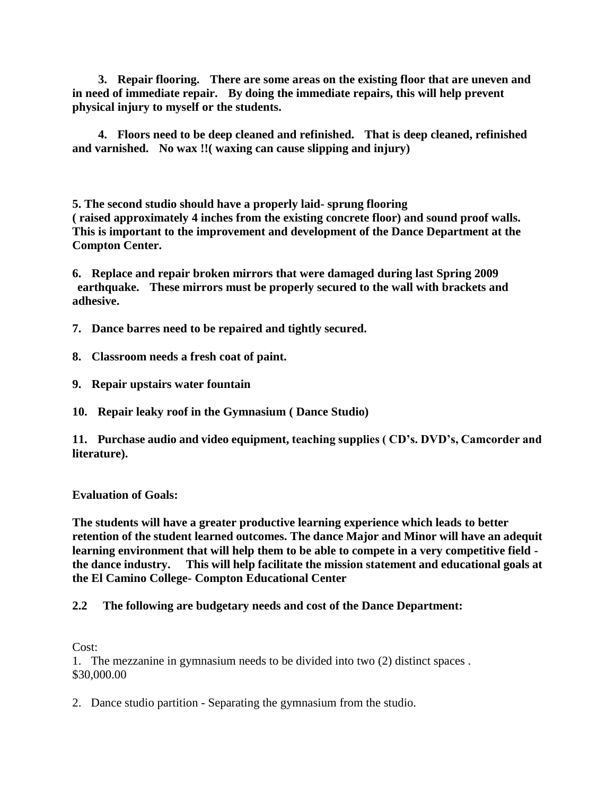**3. Repair flooring. There are some areas on the existing floor that are uneven and in need of immediate repair. By doing the immediate repairs, this will help prevent physical injury to myself or the students.**

 **4. Floors need to be deep cleaned and refinished. That is deep cleaned, refinished and varnished. No wax !!( waxing can cause slipping and injury)**

**5. The second studio should have a properly laid- sprung flooring ( raised approximately 4 inches from the existing concrete floor) and sound proof walls. This is important to the improvement and development of the Dance Department at the Compton Center.**

**6. Replace and repair broken mirrors that were damaged during last Spring 2009 earthquake. These mirrors must be properly secured to the wall with brackets and adhesive.**

- **7. Dance barres need to be repaired and tightly secured.**
- **8. Classroom needs a fresh coat of paint.**
- **9. Repair upstairs water fountain**

**10. Repair leaky roof in the Gymnasium ( Dance Studio)**

**11. Purchase audio and video equipment, teaching supplies ( CD's. DVD's, Camcorder and literature).** 

**Evaluation of Goals:**

**The students will have a greater productive learning experience which leads to better retention of the student learned outcomes. The dance Major and Minor will have an adequit learning environment that will help them to be able to compete in a very competitive field the dance industry. This will help facilitate the mission statement and educational goals at the El Camino College- Compton Educational Center**

### **2.2 The following are budgetary needs and cost of the Dance Department:**

Cost:

1. The mezzanine in gymnasium needs to be divided into two (2) distinct spaces . \$30,000.00

2. Dance studio partition - Separating the gymnasium from the studio.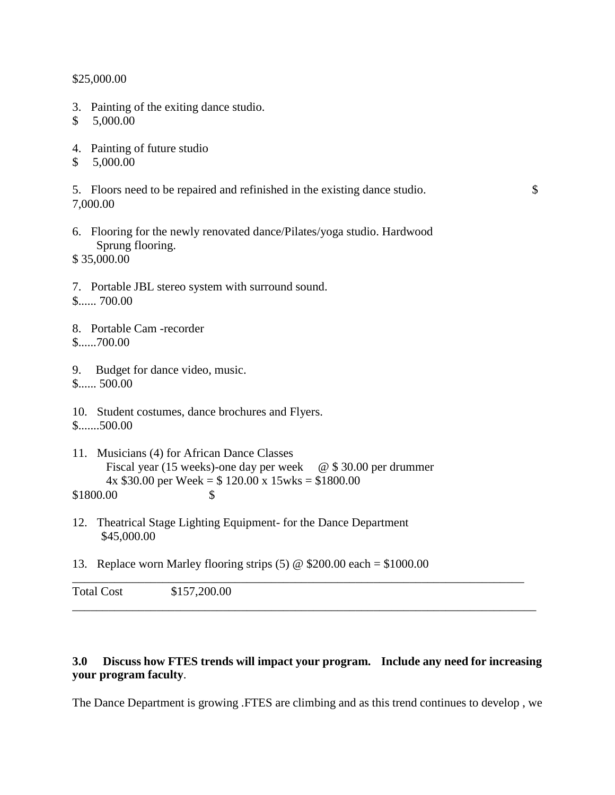\$25,000.00

- 3. Painting of the exiting dance studio.
- \$ 5,000.00
- 4. Painting of future studio
- \$ 5,000.00

5. Floors need to be repaired and refinished in the existing dance studio. \$ 7,000.00

6. Flooring for the newly renovated dance/Pilates/yoga studio. Hardwood Sprung flooring.

\$ 35,000.00

- 7. Portable JBL stereo system with surround sound. \$...... 700.00
- 8. Portable Cam -recorder \$......700.00
- 9. Budget for dance video, music. \$...... 500.00
- 10. Student costumes, dance brochures and Flyers. \$.......500.00
- 11. Musicians (4) for African Dance Classes Fiscal year (15 weeks)-one day per week  $\quad \textcircled{e} \$  \$ 30.00 per drummer  $4x $30.00$  per Week = \$ 120.00 x 15wks = \$1800.00 \$1800.00 \$
- 12. Theatrical Stage Lighting Equipment- for the Dance Department \$45,000.00
- 13. Replace worn Marley flooring strips  $(5) \otimes $200.00$  each = \$1000.00

# **3.0 Discuss how FTES trends will impact your program. Include any need for increasing your program faculty**.

\_\_\_\_\_\_\_\_\_\_\_\_\_\_\_\_\_\_\_\_\_\_\_\_\_\_\_\_\_\_\_\_\_\_\_\_\_\_\_\_\_\_\_\_\_\_\_\_\_\_\_\_\_\_\_\_\_\_\_\_\_\_\_\_\_\_\_\_\_\_\_\_\_\_\_

\_\_\_\_\_\_\_\_\_\_\_\_\_\_\_\_\_\_\_\_\_\_\_\_\_\_\_\_\_\_\_\_\_\_\_\_\_\_\_\_\_\_\_\_\_\_\_\_\_\_\_\_\_\_\_\_\_\_\_\_\_\_\_\_\_\_\_\_\_\_\_\_\_\_\_\_\_

The Dance Department is growing .FTES are climbing and as this trend continues to develop , we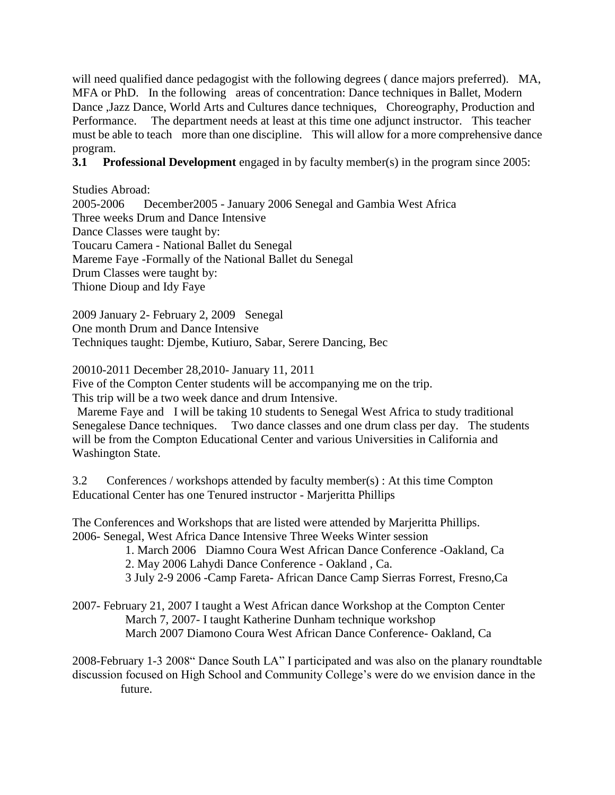will need qualified dance pedagogist with the following degrees ( dance majors preferred). MA, MFA or PhD. In the following areas of concentration: Dance techniques in Ballet, Modern Dance ,Jazz Dance, World Arts and Cultures dance techniques, Choreography, Production and Performance. The department needs at least at this time one adjunct instructor. This teacher must be able to teach more than one discipline. This will allow for a more comprehensive dance program.

**3.1 Professional Development** engaged in by faculty member(s) in the program since 2005:

Studies Abroad: 2005-2006 December2005 - January 2006 Senegal and Gambia West Africa Three weeks Drum and Dance Intensive Dance Classes were taught by: Toucaru Camera - National Ballet du Senegal Mareme Faye -Formally of the National Ballet du Senegal Drum Classes were taught by: Thione Dioup and Idy Faye

2009 January 2- February 2, 2009 Senegal One month Drum and Dance Intensive Techniques taught: Djembe, Kutiuro, Sabar, Serere Dancing, Bec

20010-2011 December 28,2010- January 11, 2011

Five of the Compton Center students will be accompanying me on the trip.

This trip will be a two week dance and drum Intensive.

Mareme Faye and I will be taking 10 students to Senegal West Africa to study traditional Senegalese Dance techniques. Two dance classes and one drum class per day. The students will be from the Compton Educational Center and various Universities in California and Washington State.

3.2 Conferences / workshops attended by faculty member(s) : At this time Compton Educational Center has one Tenured instructor - Marjeritta Phillips

The Conferences and Workshops that are listed were attended by Marjeritta Phillips. 2006- Senegal, West Africa Dance Intensive Three Weeks Winter session

1. March 2006 Diamno Coura West African Dance Conference -Oakland, Ca

2. May 2006 Lahydi Dance Conference - Oakland , Ca.

3 July 2-9 2006 -Camp Fareta- African Dance Camp Sierras Forrest, Fresno,Ca

2007- February 21, 2007 I taught a West African dance Workshop at the Compton Center March 7, 2007- I taught Katherine Dunham technique workshop March 2007 Diamono Coura West African Dance Conference- Oakland, Ca

2008-February 1-3 2008" Dance South LA" I participated and was also on the planary roundtable discussion focused on High School and Community College"s were do we envision dance in the future.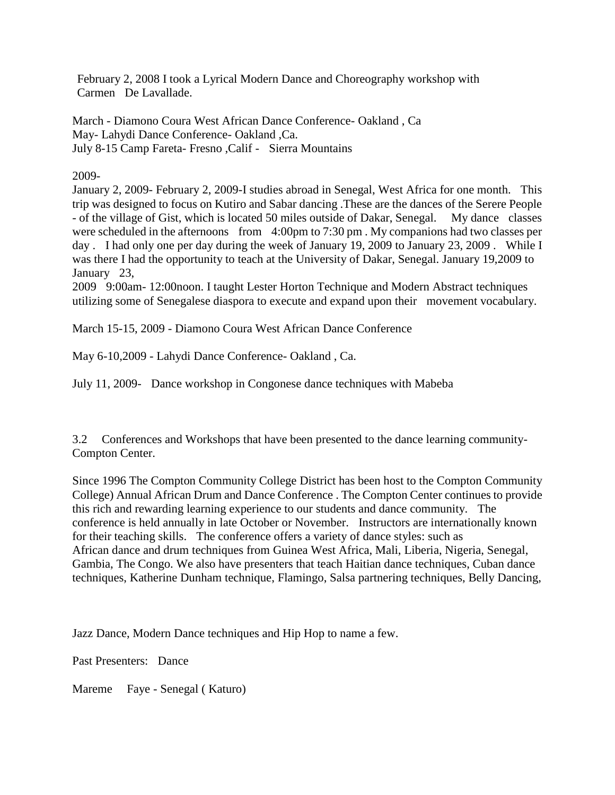February 2, 2008 I took a Lyrical Modern Dance and Choreography workshop with Carmen De Lavallade.

March - Diamono Coura West African Dance Conference- Oakland , Ca May- Lahydi Dance Conference- Oakland ,Ca. July 8-15 Camp Fareta- Fresno ,Calif - Sierra Mountains

2009-

January 2, 2009- February 2, 2009-I studies abroad in Senegal, West Africa for one month. This trip was designed to focus on Kutiro and Sabar dancing .These are the dances of the Serere People - of the village of Gist, which is located 50 miles outside of Dakar, Senegal. My dance classes were scheduled in the afternoons from 4:00pm to 7:30 pm . My companions had two classes per day . I had only one per day during the week of January 19, 2009 to January 23, 2009 . While I was there I had the opportunity to teach at the University of Dakar, Senegal. January 19,2009 to January 23,

2009 9:00am- 12:00noon. I taught Lester Horton Technique and Modern Abstract techniques utilizing some of Senegalese diaspora to execute and expand upon their movement vocabulary.

March 15-15, 2009 - Diamono Coura West African Dance Conference

May 6-10,2009 - Lahydi Dance Conference- Oakland , Ca.

July 11, 2009- Dance workshop in Congonese dance techniques with Mabeba

3.2 Conferences and Workshops that have been presented to the dance learning community-Compton Center.

Since 1996 The Compton Community College District has been host to the Compton Community College) Annual African Drum and Dance Conference . The Compton Center continues to provide this rich and rewarding learning experience to our students and dance community. The conference is held annually in late October or November. Instructors are internationally known for their teaching skills. The conference offers a variety of dance styles: such as African dance and drum techniques from Guinea West Africa, Mali, Liberia, Nigeria, Senegal, Gambia, The Congo. We also have presenters that teach Haitian dance techniques, Cuban dance techniques, Katherine Dunham technique, Flamingo, Salsa partnering techniques, Belly Dancing,

Jazz Dance, Modern Dance techniques and Hip Hop to name a few.

Past Presenters: Dance

Mareme Faye - Senegal ( Katuro)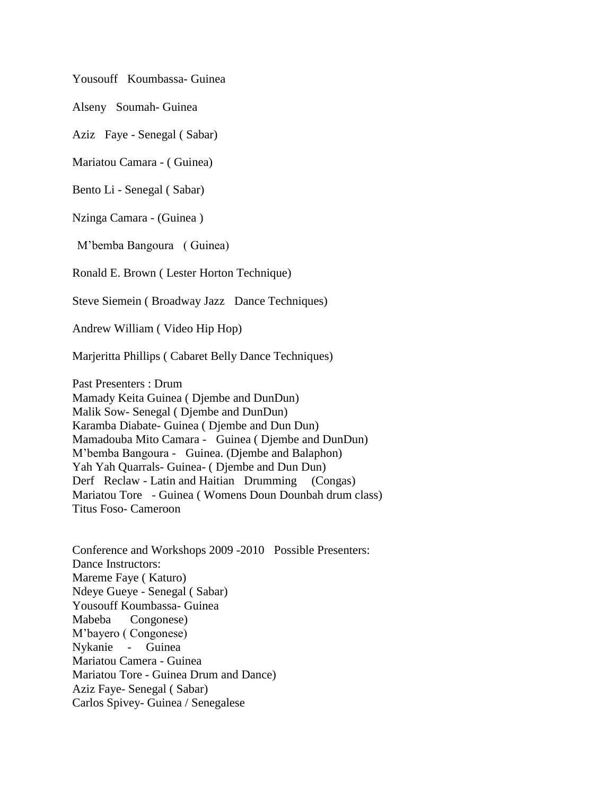Yousouff Koumbassa- Guinea

Alseny Soumah- Guinea

Aziz Faye - Senegal ( Sabar)

Mariatou Camara - ( Guinea)

Bento Li - Senegal ( Sabar)

Nzinga Camara - (Guinea )

M"bemba Bangoura ( Guinea)

Ronald E. Brown ( Lester Horton Technique)

Steve Siemein ( Broadway Jazz Dance Techniques)

Andrew William ( Video Hip Hop)

Marjeritta Phillips ( Cabaret Belly Dance Techniques)

Past Presenters : Drum Mamady Keita Guinea ( Djembe and DunDun) Malik Sow- Senegal ( Djembe and DunDun) Karamba Diabate- Guinea ( Djembe and Dun Dun) Mamadouba Mito Camara - Guinea ( Djembe and DunDun) M"bemba Bangoura - Guinea. (Djembe and Balaphon) Yah Yah Quarrals- Guinea- ( Djembe and Dun Dun) Derf Reclaw - Latin and Haitian Drumming (Congas) Mariatou Tore - Guinea ( Womens Doun Dounbah drum class) Titus Foso- Cameroon

Conference and Workshops 2009 -2010 Possible Presenters: Dance Instructors: Mareme Faye ( Katuro) Ndeye Gueye - Senegal ( Sabar) Yousouff Koumbassa- Guinea Mabeba Congonese) M"bayero ( Congonese) Nykanie - Guinea Mariatou Camera - Guinea Mariatou Tore - Guinea Drum and Dance) Aziz Faye- Senegal ( Sabar) Carlos Spivey- Guinea / Senegalese